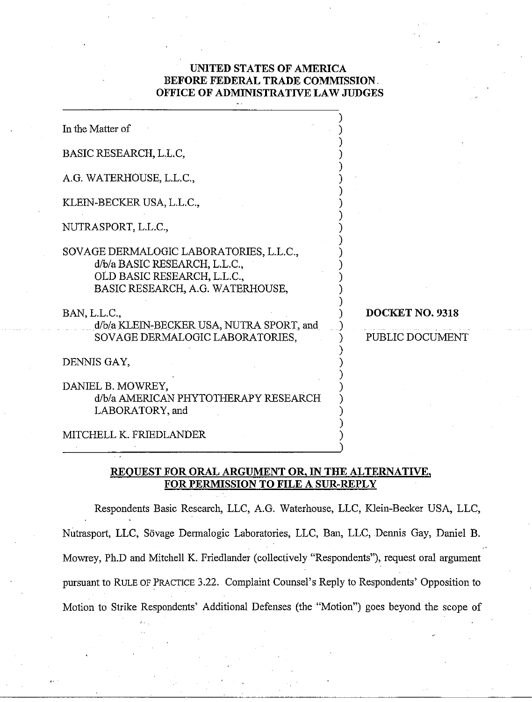## **UNITED STATES OF AMERICA BEFORE FEDERAL TRADE COMMISSION OFFICE OF ADMIMSTRATIVE LAW JUDGES**

| In the Matter of                                                                                                                            |                                    |
|---------------------------------------------------------------------------------------------------------------------------------------------|------------------------------------|
| BASIC RESEARCH, L.L.C,                                                                                                                      |                                    |
| A.G. WATERHOUSE, L.L.C.,                                                                                                                    |                                    |
| KLEIN-BECKER USA, L.L.C.,                                                                                                                   |                                    |
| NUTRASPORT, L.L.C.,                                                                                                                         |                                    |
| SOVAGE DERMALOGIC LABORATORIES, L.L.C.,<br>d/b/a BASIC RESEARCH, L.L.C.,<br>OLD BASIC RESEARCH, L.L.C.,<br>BASIC RESEARCH, A.G. WATERHOUSE, |                                    |
| BAN, L.L.C.,<br>d/b/a KLEIN-BECKER USA, NUTRA SPORT, and<br>SOVAGE DERMALOGIC LABORATORIES,                                                 | DOCKET NO. 9318<br>PUBLIC DOCUMENT |
| DENNIS GAY,                                                                                                                                 |                                    |
| DANIEL B. MOWREY,<br>d/b/a AMERICAN PHYTOTHERAPY RESEARCH<br>LABORATORY, and                                                                |                                    |
| MITCHELL K. FRIEDLANDER                                                                                                                     |                                    |

## **REOUEST FOR ORAL ARGUMENT OR, IN THE ALTERNATIVE, FOR PERMISSION TO FILE A SUR-REPLY**

Respondents Basic Research, LLC, A.G. Waterhouse, LLC, Klein-Becker USA, LLC, Nutrasport, LLC, Sovage Dermalogic Laboratories, LLC, Ban, LLC, Dennis Gay, Daniel B. Mowrey, Ph.D and Mitchell K. Friedlander (collectively "Respondents"), request oral argument pursuant to RULE OF PRACTICE 3.22. Complaint Counsel's Reply to Respondents' Opposition to Motion to Strike Respondents' Additional Defenses (the "Motion") goes beyond the scope of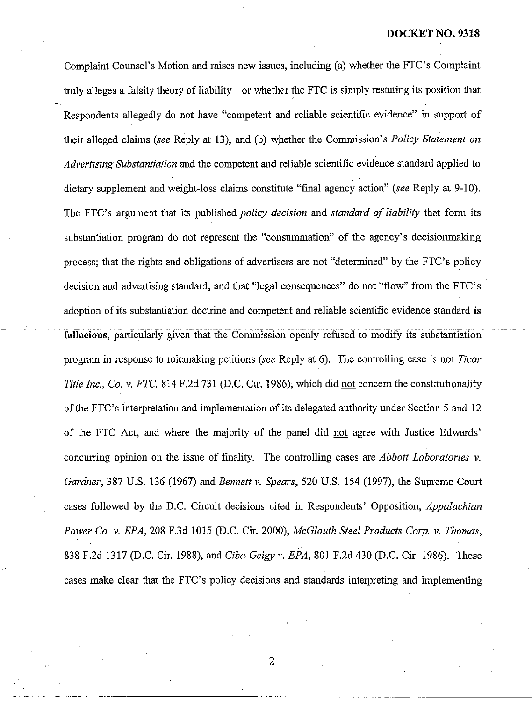Complaint Counsel's Motion and raises new issues, including (a) whether the FTC's Complaint truly alleges a falsity theory of liability—or whether the FTC is simply restating its position that Respondents allegedly do not have "competent and reliable scientific evidence" in support of their alleged claims *(see* Reply at *13),* and (b) whether the Commission's *Policy Statement on Advertising Substantiation* and the competent and reliable scientific evidence standard applied to dietary supplement and weight-loss claims constitute "final agency action" *(see* Reply at *9-10).*  The FTC's argument that its published *policjr decision* and *standard of liability* that form its substantiation program do not represent the "consummation" of the agency's decisionmaking process; that the rights and obligations of advertisers are not "determined" by the FTC's policy decision and advertising standard; and that "legal consequences" do not "flow" from the FTC's adoption of its substantiation doctrine and competent and reliable scientific evidence standard **is**  .<br>And serves a server of the server were also assume that the server of the server were also assume that the ser fallacious, particularly given that the Commission openly refused to modify its substantiation program in response to rulemaking petitions *(see* Reply st *6).* The controlling case is not *Ticor Title Inc., Co. v. FTC, 814 F.2d 731 (D.C. Cir. 1986), which did not concern the constitutionality* of the FTC's interpretation and implementation of its delegated authority under Section 5 and *12*  of the FTC Act, and where the majority of the panel did not agree with Justice Edwards' concurring opinion on the issue of finality. The controlling cases are *Abbott Laboratories* v. *Gardner, 387* U.S. *136 (1967)* and *Bennett* **v.** *Spears, 520* US. *154 (1997),* the Supreme Court cases followed by the D.C. Circuit decisions cited in Respondents' Opposition, *Appalachian Power Co. 17. EPA, 208* F.3d *1015* (D.C. Cir. *2000), McGlouth Steel Products Corp.* **v.** *Thomas, 838* F.2d *1317* (D.C. Cir. *1988),* and *Ciba-Geigy* v. *EPA, 801* F.2d *430* (D.C. Cir. *1986).* These cases make clear that the FTC's policy decisions and standards interpreting and implementing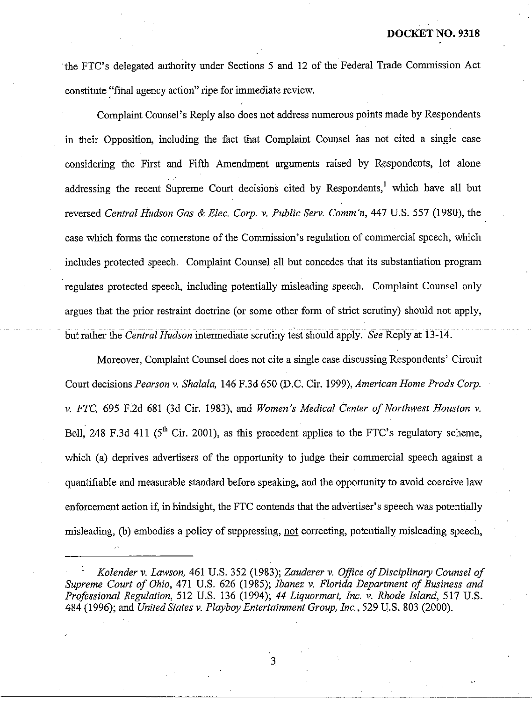the FTC's delegated authority under Sections 5 and 12 of the Federal Trade Commission Act constitute "final agency action" ripe for immediate review.

Complaint Counsel's Reply also does not address numerous points made by Respondents in their Opposition, including the fact that Complaint Counsel has not cited a single case considering the First and Fifth Amendment arguments raised by Respondents, let alone addressing the recent Supreme Court decisions cited by Respondents,<sup>1</sup> which have all but reversed *Central Hudson Gas & Elec. Corp. v. Public Serv. Comm'n*, 447 U.S. 557 (1980), the case which forms the cornerstone of the Commission's regulation of commercial speech, which includes protected speech. Complaint Counsel all but concedes that its substantiation program regulates protected speech, including potentially misleading speech. Complaint Counsel only argues that the prior restraint doctrine (or some other form of strict scrutiny) should not apply, ~- ~ ~~~ ~~ ~~ ~~~ ~ -~ ~ ~~~~~~ ~~ ~~ ~~~ ~~~~~~~~ but rather the *Central Hudson* intermediate scrutiny test should apply. *See* Reply at 13-14.

Moreover, Complaint Counsel does not cite a single case discussing Respondents' Circuit Court decisions *Pearson* **v.** *Shalala,* 146 F.3d 650 @.C. Cir. 1999), *American Home Prods Corp.*  **v.** *FTC,* 695 F.2d 681 (3d Cir. 1983), and *Women's Medical Center of Northwest Houston* v. Bell, 248 F.3d 411 ( $5<sup>th</sup>$  Cir. 2001), as this precedent applies to the FTC's regulatory scheme, which (a) deprives advertisers of the opportunity to judge their commercial speech against a quantifiable and measurable standard before speaking, and the opportunity to avoid coercive law enforcement action if, in hindsight, the FTC contends that the advertiser's speech was potentially misleading, (b) embodies a policy of suppressing, not correcting, potentially misleading speech,

3

<sup>&#</sup>x27; *Kolender v. Lawson,* 461 U.S. 352 (1983); *Zauderer* v. *Ofice of Disciplinary Counsel of Supreme Court of Ohio,* 471 U.S. 626 (1985); *Ibanez v. Florida Department of Business and Professional Regulation,* 512 U.S. 136 (1994); 44 *Liquormart, Inc. v. Rhode Island,* 517 U.S. 484 (1996); and *United States v. Playboy Entertainment Group, Inc.,* 529 U.S. 803 (2000).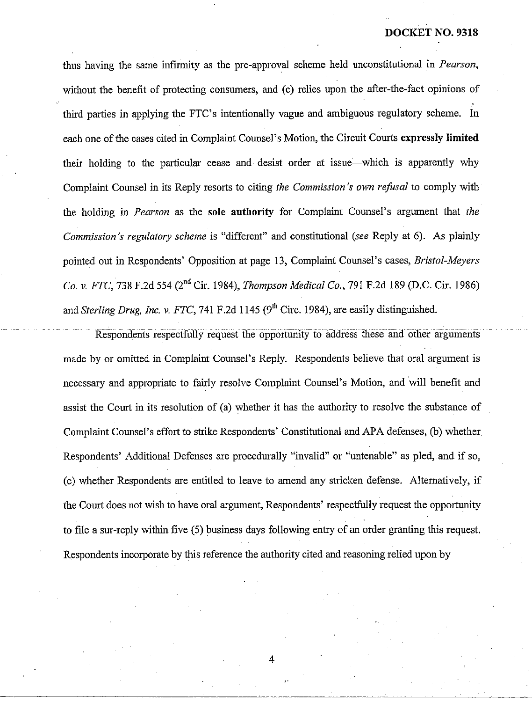thus having the same infirmity as the pre-approval scheme held unconstitutional in *Pearson,*  without the benefit of protecting consumers, and (c) relies upon ihe after-the-fact opinions of third parties in applying the FTC's intentionally vague and ambiguous regulatory scheme. In each one of the cases cited in Complaint Counsel's Motion, the Circuit Courts expressly limited their holding to the particular cease and desist order at issue-which is apparently why Complaint Counsel in its Reply resorts to citing *the Commission's own refusal* to comply with the holding in *Pearson* as the sole authority for Complaint Counsel's argument that *the Commission's regulatory scheme* is "different" and constitutional *(see* Reply at 6). As plainly pointed out in Respondents' Opposition at page 13, Complaint Counsel's cases, *Bristol-Meyers Co.* **v.** *FTC,* 738 F.2d 554 (2nd Cir. 1984), *Thonzpson Medical Co.,* 791 F.2d 189 @.C. Cir. 1986) and *Sterling Drug, Inc. v. FTC*, 741 F.2d 1145 (9<sup>th</sup> Circ. 1984), are easily distinguished. ma *steru*<br>~ ~ ~ ~ <del>p</del>

Respondents respectfully request the opportunity to address these and other arguments . . made by or omitted in Complaint Counsel's Reply. Respondents believe that oral argument is necessary and appropriate to fairly resolve Complaint Counsel's Motion, and will benefit and assist the Court in its resolution of (a) whether it has the authority to resolve the substance of Complaint Counsel's effort to strike Respondents' Constitutional and APA defenses, (b) whether Respondents' Additional Defenses are procedurally "invalid" or "untenable" as pled, and if so, (c) whether Respondents are entitled to leave to amend any stricken defense. Alternatively, if the Court does not wish to have oral argument, Respondents' respectfully request the opportunity to file a sur-reply within five (5) business days following entry of an order granting this request. Respondents incorporate by this reference the authority cited and reasoning relied upon by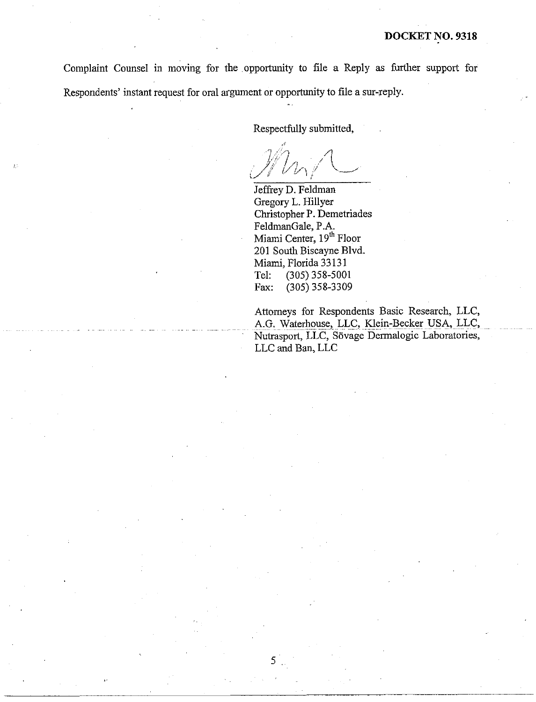Complaint Counsel in moving for the opportunity to file a Reply as further support for Respondents' instant request for oral argument or opportunity to file a sur-reply.

5

Respectfully submitted,

Jeffrey D. Feldman Gregory L. Hillyer Christopher P. Demetriades FeldmanGale, P.A. Miami Center, 19<sup>th</sup> Floor 201 South Biscayne Blvd. Miami, Florida 33 13 1 Tel: (305) 358-5001 Fax: (305) 358-3309

Attorneys for Respondents Basic Research, LLC, A.G. Waterhouse, LLC, Klein-Becker USA, LLC, Nutrasport, LLC, Sövage Dermalogic Laboratories, LLC and Ban, LLC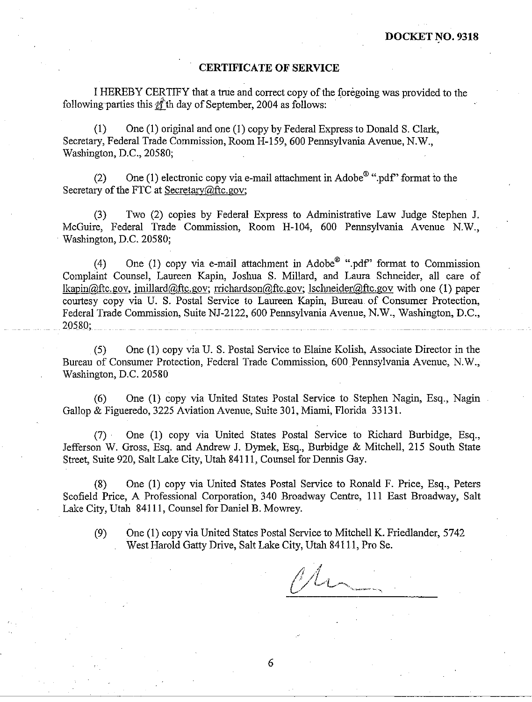## **CERTIFICATE OF SERVICE**

I HEREBY CERTIFY that a true and correct copy of the foregoing was provided to the following parties this  $\hat{\mathbb{Z}}$  th day of September, 2004 as follows:

(1) One (1) original and one (I) copy by Federal Express to Donald S. Clark, Secretary, Federal Trade Commission, Room H-159,600 Pennsylvania Avenue, N.W., Washington, D.C., 20580;

(2) One (1) electronic copy via e-mail attachment in Adobe<sup> $\mathbf{0}$ </sup> ".pdf" format to the Secretary of the FTC at Secretary@ftc.gov;

(3) Two (2) copies by Federal Express to Administrative Law Judge Stephen J. McGuire, Federal Trade Commission, Room H-104, 600 Pennsylvania Avenue N.W., Washington, D.C. 20580;

(4) One (1) copy via e-mail attachment in Adobe  $\mathscr{B}$  ".pdf" format to Commission Complaint Counsel, Laureen Kapin, Joshua S. Millard, and Laura Sclmeider, all care of lkapin@ftc.gov, imillard@ftc.gov; rrichardson@ftc.gov; Ischneider@,ftc.gov with one (1) paper courtesy copy via U. S. Postal Service to Laureen Kapin, Bureau of Consumer Protection, Federal Trade Commission, Suite NJ-2122, 600 Pennsylvania Avenue, N.W., Washington, D.C., 20580:

(5) One (1) copy via U. S. Postal Service to Elaine Kolish, Associate Director in the Bureau of Consumer Protection, Federal Trade Commission, 600 Pennsylvania Avenue, N.W., Washington, D.C. 20580

(6) One (1) copy via United States Postal Service to Stephen Nagin, Esq., Nagin Gallop & Figueredo, 3225 Aviation Avenue, Suite 301, Miami, Florida 33 13 1.

(7) One (1) copy via United States Postal Service to Richard Burbidge, Esq., Jefferson W. Gross, Esq. and Andrew J. Dymek, Esq., Burbidge & Mitchell, 215 South State Street, Suite 920, Salt Lake City, Utah 841 11, Counsel for Dennis Gay.

(8) One (1) copy via United States Postal Service to Ronald F. Price, Esq., Peters Scofield Price, A Professional Corporation, 340 Broadway Centre, 111 East Broadway, Salt Lake City, Utah 84111, Counsel for Daniel B. Mowrey.

(9) One (1) copy via United States Postal Service to Mitchell K. Friedlander, 5742 West Harold Gatty Drive, Salt Lake City, Utah 841 11, Pro Se.

6